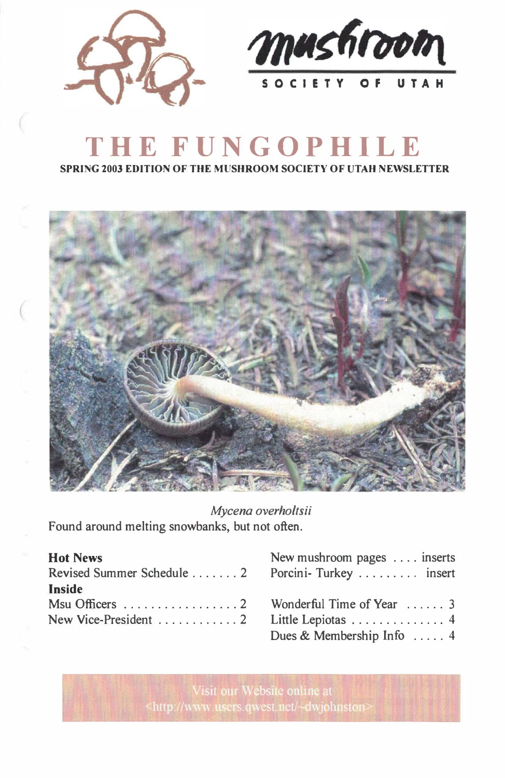



# **THE FUNGOPHILE**

**SPRING 2003 EDITION OF THE MUSHROOM SOCIETY OF UTAH NEWSLETTER** 



*Mycena overholtsii*  Found around melting snowbanks, but not often.

| <b>Hot News</b>                                 | New mushroom pages  inserts |
|-------------------------------------------------|-----------------------------|
| Revised Summer Schedule 2 Porcini-Turkey insert |                             |
| <b>Inside</b>                                   |                             |
| Msu Officers 2 Wonderful Time of Year 3         |                             |
|                                                 |                             |
|                                                 | Dues & Membership Info 4    |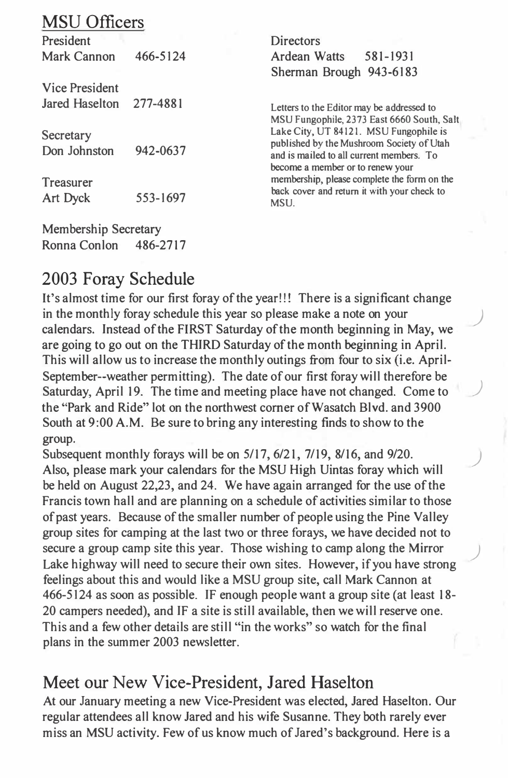## MSU Officers

President Mark Cannon 466-5124 Vice President Jared Haselton 277-4881 **Directors** Ardean Watts 581-1931 Sherman Brough 943-6183 Letters to the Editor may be addressed to **Secretary** MSU Fungophile, 2373 East 6660 South, Salt Lake City, UT 84121. MSU Fungophile is published by the Mushroom Society of Utah Don Johnston 942-0637 Treasurer Art Dyck 553-1697 and is mailed to all current members. To become a member or to renew your membership, please complete the form on the back cover and return it with your check to **MSU.** 

## 2003 Foray Schedule

Membership Secretary Ronna Conlon 486-2717

It's almost time for our first foray of the year!!! There is a significant change in the monthly foray schedule this year so please make a note on your calendars. Instead of the FIRST Saturday of the month beginning in May, we are going to go out on the THIRD Saturday of the month beginning in April. This will allow us to increase the monthly outings from four to six (i.e. April-September--weather permitting). The date of our first foray will therefore be Saturday, April 19. The time and meeting place have not changed. Come to ) the ''Park and Ride" lot on the northwest comer of Wasatch Blvd. and 3900 South at 9:00 A.M. Be sure to bring any interesting finds to show to the group.

Subsequent monthly forays will be on 5/17, 6/21, 7/19, 8/16, and 9/20.<br>Also, please mark your calendars for the MSU High Uintas foray which will be held on August 22,23, and 24. We have again arranged for the use of the Francis town hall and are planning on a schedule of activities similar to those of past years. Because of the smaller number of people using the Pine Valley group sites for camping at the last two or three forays, we have decided not to secure a group camp site this year. Those wishing to camp along the Mirror Lake highway will need to secure their own sites. However, if you have strong feelings about this and would like a MSU group site, call Mark Cannon at 466-5124 as soon as possible. IF enough people want a group site (at least 18- 20 campers needed), and IF a site is still available, then we will reserve one. This and a few other details are still "in the works" so watch for the final plans in the summer 2003 newsletter.

#### Meet our New Vice-President, Jared Haselton

At our January meeting a new Vice-President was elected, Jared Haselton. Our regular attendees all know Jared and his wife Susanne. They both rarely ever miss an MSU activity. Few of us know much of Jared's background. Here is a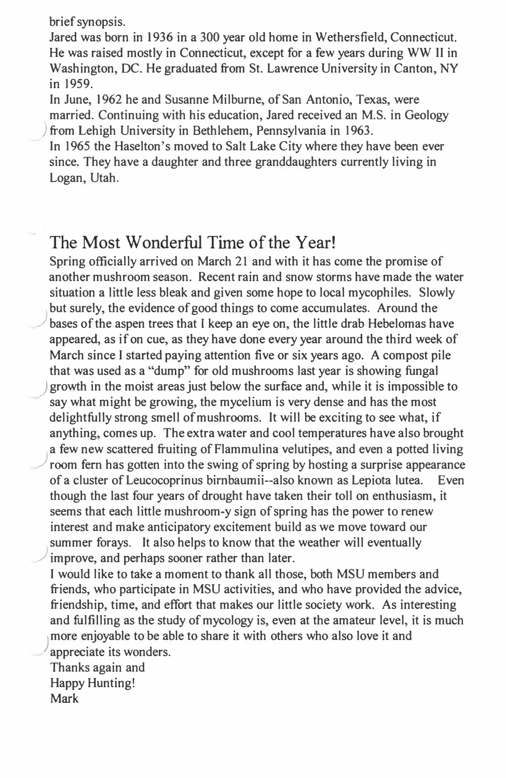brief synopsis.

Jared was born in 1936 in a 300 year old home in Wethersfield, Connecticut. He was raised mostly in Connecticut, except for a few years during WW II in Washington, DC. He graduated from St. Lawrence University in Canton, NY in 1959.

In June, 1962 he and Susanne Milburne, of San Antonio, Texas, were married. Continuing with his education, Jared received an M.S. in Geology ) from Lehigh University in Bethlehem, Pennsylvania in 1963.

In 1965 the Haselton's moved to Salt Lake City where they have been ever since. They have a daughter and three granddaughters currently living in Logan, Utah.

#### The Most Wonderful Time of the Year!

Spring officially arrived on March 21 and with it has come the promise of another mushroom season. Recent rain and snow storms have made the water situation a little less bleak and given some hope to local mycophiles. Slowly but surely, the evidence of good things to come accumulates. Around the ) bases of the aspen trees that I keep an eye on, the little drab Hebelomas have appeared, as if on cue, as they have done every year around the third week of March since I started paying attention five or six years ago. A compost pile that was used as a "dump" for old mushrooms last year is showing fungal ) growth in the moist areas just below the surface and, while it is impossible to say what might be growing, the mycelium is very dense and has the most delightfully strong smell of mushrooms. It will be exciting to see what, if anything, comes up. The extra water and cool temperatures have also brought ) a few new scattered fruiting of Flammulina velutipes, and even a potted living room fem has gotten into the swing of spring by hosting a surprise appearance of a cluster of Leucocoprinus birnbaumii--also known as Lepiota lutea. Even though the last four years of drought have taken their toll on enthusiasm, it seems that each little mushroom-y sign of spring has the power to renew interest and make anticipatory excitement build as we move toward our summer forays. It also helps to know that the weather will eventually improve, and perhaps sooner rather than later.

I would like to take a moment to thank all those, both MSU members and friends, who participate in MSU activities, and who have provided the advice, friendship, time, and effort that makes our little society work. As interesting and fulfilling as the study of mycology is, even at the amateur level, it is much ) more enjoyable to be able to share it with others who also love it and appreciate its wonders.

Thanks again and Happy Hunting! **Mark**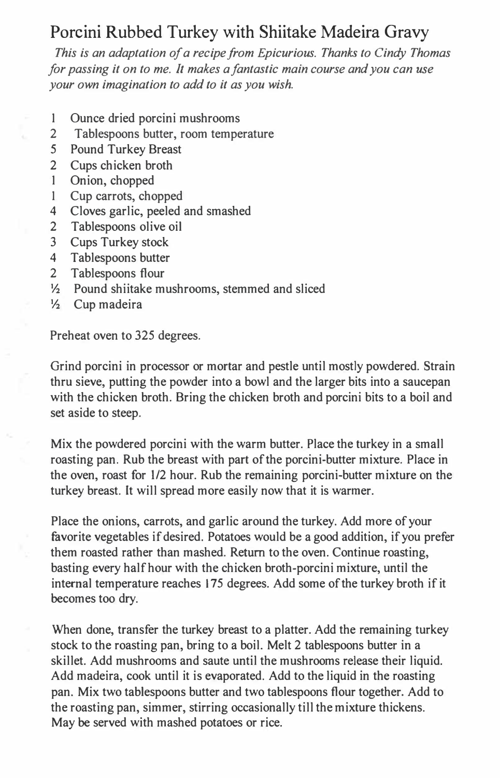### Porcini Rubbed Turkey with Shiitake Madeira Gravy

*This is an adaptation of a recipe from Epicurious. Thanks to Cindy Thomas for passing it on to me. It makes a fantastic main course and you can use your own imagination to add to it as you wish.* 

- I Ounce dried porcini mushrooms
- 2 Tablespoons butter, room temperature
- 5 Pound Turkey Breast
- 2 Cups chicken broth
- 1 Onion, chopped
- I Cup carrots, chopped
- 4 Cloves garlic, peeled and smashed
- 2 Tablespoons olive oil
- 3 Cups Turkey stock
- 4 Tablespoons butter
- 2 Tablespoons flour
- ½ Pound shiitake mushrooms, stemmed and sliced
- ½ Cup madeira

Preheat oven to 325 degrees.

Grind porcini in processor or mortar and pestle until mostly powdered. Strain thru sieve, putting the powder into a bowl and the larger bits into a saucepan with the chicken broth. Bring the chicken broth and porcini bits to a boil and set aside to steep.

Mix the powdered porcini with the warm butter. Place the turkey in a small roasting pan. Rub the breast with part of the porcini-butter mixture. Place in the oven, roast for 1/2 hour. Rub the remaining porcini-butter mixture on the turkey breast. It will spread more easily now that it is warmer.

Place the onions, carrots, and garlic around the turkey. Add more of your favorite vegetables if desired. Potatoes would be a good addition, if you prefer them roasted rather than mashed. Return to the oven. Continue roasting, basting every half hour with the chicken broth-porcini mixture, until the internal temperature reaches 175 degrees. Add some of the turkey broth if it becomes too dry.

When done, transfer the turkey breast to a platter. Add the remaining turkey stock to the roasting pan, bring to a boil. Melt 2 tablespoons butter in a skillet. Add mushrooms and saute until the mushrooms release their liquid. Add madeira, cook until it is evaporated. Add to the liquid in the roasting pan. Mix two tablespoons butter and two tablespoons flour together. Add to the roasting pan, simmer, stirring occasionally till the mixture thickens. May be served with mashed potatoes or rice.